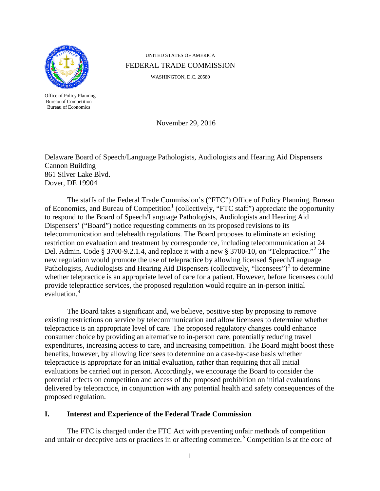

Office of Policy Planning Bureau of Competition Bureau of Economics

UNITED STATES OF AMERICA FEDERAL TRADE COMMISSION

WASHINGTON, D.C. 20580

<span id="page-0-0"></span>November 29, 2016

Delaware Board of Speech/Language Pathologists, Audiologists and Hearing Aid Dispensers Cannon Building 861 Silver Lake Blvd. Dover, DE 19904

The staffs of the Federal Trade Commission's ("FTC") Office of Policy Planning, Bureau of Economics, and Bureau of Competition<sup>[1](#page-7-0)</sup> (collectively, "FTC staff") appreciate the opportunity to respond to the Board of Speech/Language Pathologists, Audiologists and Hearing Aid Dispensers' ("Board") notice requesting comments on its proposed revisions to its telecommunication and telehealth regulations. The Board proposes to eliminate an existing restriction on evaluation and treatment by correspondence, including telecommunication at 24 Del. Admin. Code § 3700-9.[2](#page-7-1).1.4, and replace it with a new § 3700-10, on "Telepractice."<sup>2</sup> The new regulation would promote the use of telepractice by allowing licensed Speech/Language Pathologists, Audiologists and Hearing Aid Dispensers (collectively, "licensees")<sup>[3](#page-7-2)</sup> to determine whether telepractice is an appropriate level of care for a patient. However, before licensees could provide telepractice services, the proposed regulation would require an in-person initial evaluation.

The Board takes a significant and, we believe, positive step by proposing to remove existing restrictions on service by telecommunication and allow licensees to determine whether telepractice is an appropriate level of care. The proposed regulatory changes could enhance consumer choice by providing an alternative to in-person care, potentially reducing travel expenditures, increasing access to care, and increasing competition. The Board might boost these benefits, however, by allowing licensees to determine on a case-by-case basis whether telepractice is appropriate for an initial evaluation, rather than requiring that all initial evaluations be carried out in person. Accordingly, we encourage the Board to consider the potential effects on competition and access of the proposed prohibition on initial evaluations delivered by telepractice, in conjunction with any potential health and safety consequences of the proposed regulation.

# **I. Interest and Experience of the Federal Trade Commission**

The FTC is charged under the FTC Act with preventing unfair methods of competition and unfair or deceptive acts or practices in or affecting commerce.<sup>[5](#page-7-4)</sup> Competition is at the core of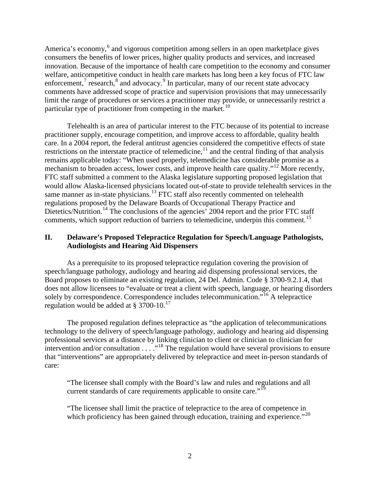<span id="page-1-1"></span><span id="page-1-0"></span>America's economy,<sup>[6](#page-8-0)</sup> and vigorous competition among sellers in an open marketplace gives consumers the benefits of lower prices, higher quality products and services, and increased innovation. Because of the importance of health care competition to the economy and consumer welfare, anticompetitive conduct in health care markets has long been a key focus of FTC law enforcement,<sup>[7](#page-8-1)</sup> research, $^8$  $^8$  and advocacy.<sup>[9](#page-8-3)</sup> In particular, many of our recent state advocacy comments have addressed scope of practice and supervision provisions that may unnecessarily limit the range of procedures or services a practitioner may provide, or unnecessarily restrict a particular type of practitioner from competing in the market.<sup>[10](#page-8-4)</sup>

<span id="page-1-2"></span>Telehealth is an area of particular interest to the FTC because of its potential to increase practitioner supply, encourage competition, and improve access to affordable, quality health care. In a 2004 report, the federal antitrust agencies considered the competitive effects of state restrictions on the interstate practice of telemedicine,<sup>[11](#page-8-5)</sup> and the central finding of that analysis remains applicable today: "When used properly, telemedicine has considerable promise as a mechanism to broaden access, lower costs, and improve health care quality."<sup>[12](#page-8-6)</sup> More recently, FTC staff submitted a comment to the Alaska legislature supporting proposed legislation that would allow Alaska-licensed physicians located out-of-state to provide telehealth services in the same manner as in-state physicians.<sup>[13](#page-8-7)</sup> FTC staff also recently commented on telehealth regulations proposed by the Delaware Boards of Occupational Therapy Practice and Dietetics/Nutrition.<sup>[14](#page-8-8)</sup> The conclusions of the agencies' 2004 report and the prior FTC staff comments, which support reduction of barriers to telemedicine, underpin this comment.<sup>[15](#page-8-9)</sup>

### <span id="page-1-7"></span><span id="page-1-3"></span>**II. Delaware's Proposed Telepractice Regulation for Speech/Language Pathologists, Audiologists and Hearing Aid Dispensers**

As a prerequisite to its proposed telepractice regulation covering the provision of speech/language pathology, audiology and hearing aid dispensing professional services, the Board proposes to eliminate an existing regulation, 24 Del. Admin. Code § 3700-9.2.1.4, that does not allow licensees to "evaluate or treat a client with speech, language, or hearing disorders solely by correspondence. Correspondence includes telecommunication."<sup>[16](#page-8-10)</sup> A telepractice regulation would be added at  $\S 3700-10$ .<sup>[17](#page-8-11)</sup>

The proposed regulation defines telepractice as "the application of telecommunications technology to the delivery of speech/language pathology, audiology and hearing aid dispensing professional services at a distance by linking clinician to client or clinician to clinician for intervention and/or consultation  $\ldots$ <sup>[18](#page-8-12)</sup>. The regulation would have several provisions to ensure that "interventions" are appropriately delivered by telepractice and meet in-person standards of care:

<span id="page-1-6"></span><span id="page-1-5"></span><span id="page-1-4"></span>"The licensee shall comply with the Board's law and rules and regulations and all current standards of care requirements applicable to onsite care."<sup>[19](#page-8-13)</sup>

"The licensee shall limit the practice of telepractice to the area of competence in which proficiency has been gained through education, training and experience."<sup>[20](#page-8-1)</sup>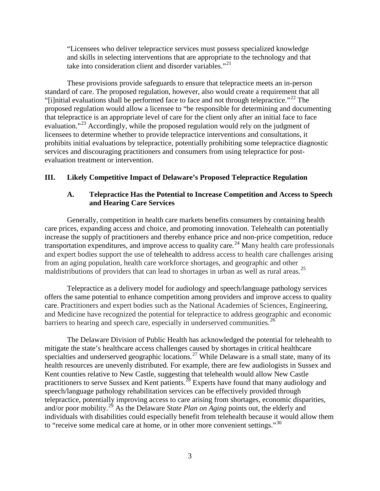<span id="page-2-5"></span><span id="page-2-3"></span>"Licensees who deliver telepractice services must possess specialized knowledge and skills in selecting interventions that are appropriate to the technology and that take into consideration client and disorder variables."<sup>[21](#page-9-0)</sup>

<span id="page-2-4"></span>These provisions provide safeguards to ensure that telepractice meets an in-person standard of care. The proposed regulation, however, also would create a requirement that all "[i]nitial evaluations shall be performed face to face and not through telepractice."<sup>[22](#page-9-1)</sup> The proposed regulation would allow a licensee to "be responsible for determining and documenting that telepractice is an appropriate level of care for the client only after an initial face to face evaluation."<sup>[23](#page-9-2)</sup> Accordingly, while the proposed regulation would rely on the judgment of licensees to determine whether to provide telepractice interventions and consultations, it prohibits initial evaluations by telepractice, potentially prohibiting some telepractice diagnostic services and discouraging practitioners and consumers from using telepractice for postevaluation treatment or intervention.

### **III. Likely Competitive Impact of Delaware's Proposed Telepractice Regulation**

### <span id="page-2-6"></span>**A. Telepractice Has the Potential to Increase Competition and Access to Speech and Hearing Care Services**

Generally, competition in health care markets benefits consumers by containing health care prices, expanding access and choice, and promoting innovation. Telehealth can potentially increase the supply of practitioners and thereby enhance price and non-price competition, reduce transportation expenditures, and improve access to quality care*.* [24](#page-9-3) Many health care professionals and expert bodies support the use of telehealth to address access to health care challenges arising from an aging population, health care workforce shortages, and geographic and other maldistributions of providers that can lead to shortages in urban as well as rural areas.<sup>[25](#page-9-4)</sup>

Telepractice as a delivery model for audiology and speech/language pathology services offers the same potential to enhance competition among providers and improve access to quality care. Practitioners and expert bodies such as the National Academies of Sciences, Engineering, and Medicine have recognized the potential for telepractice to address geographic and economic barriers to hearing and speech care, especially in underserved communities.<sup>[26](#page-9-5)</sup>

<span id="page-2-2"></span><span id="page-2-1"></span><span id="page-2-0"></span>The Delaware Division of Public Health has acknowledged the potential for telehealth to mitigate the state's healthcare access challenges caused by shortages in critical healthcare specialties and underserved geographic locations.<sup>[27](#page-9-6)</sup> While Delaware is a small state, many of its health resources are unevenly distributed. For example, there are few audiologists in Sussex and Kent counties relative to New Castle, suggesting that telehealth would allow New Castle practitioners to serve Sussex and Kent patients.<sup>[28](#page-9-7)</sup> Experts have found that many audiology and speech/language pathology rehabilitation services can be effectively provided through telepractice, potentially improving access to care arising from shortages, economic disparities, and/or poor mobility.[29](#page-9-8) As the Delaware *State Plan on Aging* points out, the elderly and individuals with disabilities could especially benefit from telehealth because it would allow them to "receive some medical care at home, or in other more convenient settings."<sup>[30](#page-9-9)</sup>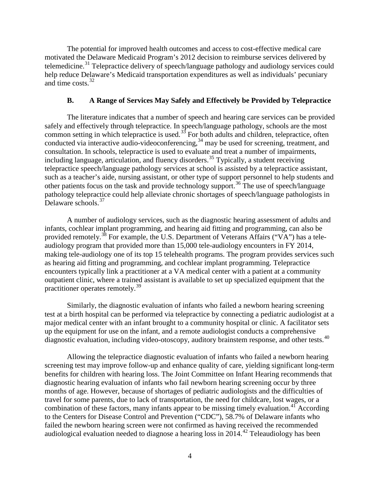The potential for improved health outcomes and access to cost-effective medical care motivated the Delaware Medicaid Program's 2012 decision to reimburse services delivered by telemedicine.<sup>[31](#page-10-0)</sup> Telepractice delivery of speech/language pathology and audiology services could help reduce Delaware's Medicaid transportation expenditures as well as individuals' pecuniary and time costs.<sup>[32](#page-10-1)</sup>

#### <span id="page-3-3"></span><span id="page-3-2"></span>**B. A Range of Services May Safely and Effectively be Provided by Telepractice**

The literature indicates that a number of speech and hearing care services can be provided safely and effectively through telepractice. In speech/language pathology, schools are the most common setting in which telepractice is used. $35$  For both adults and children, telepractice, often conducted via interactive audio-videoconferencing,  $34$  may be used for screening, treatment, and consultation. In schools, telepractice is used to evaluate and treat a number of impairments, including language, articulation, and fluency disorders.<sup>[35](#page-10-4)</sup> Typically, a student receiving telepractice speech/language pathology services at school is assisted by a telepractice assistant, such as a teacher's aide, nursing assistant, or other type of support personnel to help students and other patients focus on the task and provide technology support.[36](#page-10-5) The use of speech/language pathology telepractice could help alleviate chronic shortages of speech/language pathologists in Delaware schools.<sup>[37](#page-10-6)</sup>

<span id="page-3-0"></span>A number of audiology services, such as the diagnostic hearing assessment of adults and infants, cochlear implant programming, and hearing aid fitting and programming, can also be provided remotely.<sup>[38](#page-10-7)</sup> For example, the U.S. Department of Veterans Affairs ("VA") has a teleaudiology program that provided more than 15,000 tele-audiology encounters in FY 2014, making tele-audiology one of its top 15 telehealth programs. The program provides services such as hearing aid fitting and programming, and cochlear implant programming. Telepractice encounters typically link a practitioner at a VA medical center with a patient at a community outpatient clinic, where a trained assistant is available to set up specialized equipment that the practitioner operates remotely.[39](#page-10-8)

Similarly, the diagnostic evaluation of infants who failed a newborn hearing screening test at a birth hospital can be performed via telepractice by connecting a pediatric audiologist at a major medical center with an infant brought to a community hospital or clinic. A facilitator sets up the equipment for use on the infant, and a remote audiologist conducts a comprehensive diagnostic evaluation, including video-otoscopy, auditory brainstem response, and other tests.<sup>[40](#page-10-9)</sup>

<span id="page-3-1"></span>Allowing the telepractice diagnostic evaluation of infants who failed a newborn hearing screening test may improve follow-up and enhance quality of care, yielding significant long-term benefits for children with hearing loss. The Joint Committee on Infant Hearing recommends that diagnostic hearing evaluation of infants who fail newborn hearing screening occur by three months of age. However, because of shortages of pediatric audiologists and the difficulties of travel for some parents, due to lack of transportation, the need for childcare, lost wages, or a combination of these factors, many infants appear to be missing timely evaluation.<sup>[41](#page-10-10)</sup> According to the Centers for Disease Control and Prevention ("CDC"), 58.7% of Delaware infants who failed the newborn hearing screen were not confirmed as having received the recommended audiological evaluation needed to diagnose a hearing loss in  $2014.<sup>42</sup>$  $2014.<sup>42</sup>$  $2014.<sup>42</sup>$  Teleaudiology has been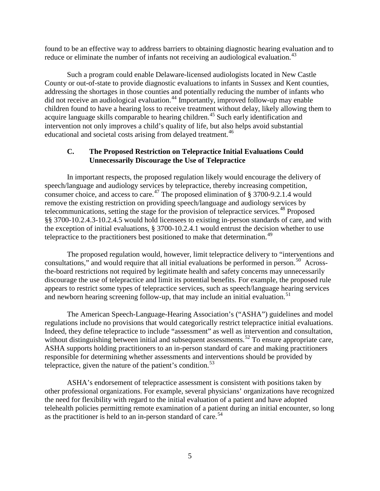found to be an effective way to address barriers to obtaining diagnostic hearing evaluation and to reduce or eliminate the number of infants not receiving an audiological evaluation.<sup>[43](#page-11-0)</sup>

Such a program could enable Delaware-licensed audiologists located in New Castle County or out-of-state to provide diagnostic evaluations to infants in Sussex and Kent counties, addressing the shortages in those counties and potentially reducing the number of infants who did not receive an audiological evaluation.<sup>[44](#page-11-1)</sup> Importantly, improved follow-up may enable children found to have a hearing loss to receive treatment without delay, likely allowing them to acquire language skills comparable to hearing children.<sup>[45](#page-11-2)</sup> Such early identification and intervention not only improves a child's quality of life, but also helps avoid substantial educational and societal costs arising from delayed treatment.<sup>[46](#page-11-3)</sup>

## <span id="page-4-0"></span>**C. The Proposed Restriction on Telepractice Initial Evaluations Could Unnecessarily Discourage the Use of Telepractice**

In important respects, the proposed regulation likely would encourage the delivery of speech/language and audiology services by telepractice, thereby increasing competition, consumer choice, and access to care.<sup>[47](#page-11-4)</sup> The proposed elimination of  $\S 3700$ -9.2.1.4 would remove the existing restriction on providing speech/language and audiology services by telecommunications, setting the stage for the provision of telepractice services.<sup>[48](#page-11-5)</sup> Proposed §§ 3700-10.2.4.3-10.2.4.5 would hold licensees to existing in-person standards of care, and with the exception of initial evaluations, § 3700-10.2.4.1 would entrust the decision whether to use telepractice to the practitioners best positioned to make that determination.<sup>[49](#page-11-6)</sup>

The proposed regulation would, however, limit telepractice delivery to "interventions and consultations," and would require that all initial evaluations be performed in person.<sup>[50](#page-11-7)</sup> Acrossthe-board restrictions not required by legitimate health and safety concerns may unnecessarily discourage the use of telepractice and limit its potential benefits. For example, the proposed rule appears to restrict some types of telepractice services, such as speech/language hearing services and newborn hearing screening follow-up, that may include an initial evaluation.<sup>[51](#page-11-8)</sup>

The American Speech-Language-Hearing Association's ("ASHA") guidelines and model regulations include no provisions that would categorically restrict telepractice initial evaluations. Indeed, they define telepractice to include "assessment" as well as intervention and consultation, without distinguishing between initial and subsequent assessments.<sup>[52](#page-11-9)</sup> To ensure appropriate care, ASHA supports holding practitioners to an in-person standard of care and making practitioners responsible for determining whether assessments and interventions should be provided by telepractice, given the nature of the patient's condition.<sup>[53](#page-11-10)</sup>

ASHA's endorsement of telepractice assessment is consistent with positions taken by other professional organizations. For example, several physicians' organizations have recognized the need for flexibility with regard to the initial evaluation of a patient and have adopted telehealth policies permitting remote examination of a patient during an initial encounter, so long as the practitioner is held to an in-person standard of care.<sup>[54](#page-11-11)</sup>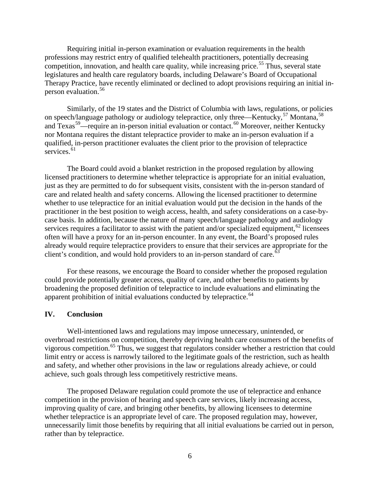Requiring initial in-person examination or evaluation requirements in the health professions may restrict entry of qualified telehealth practitioners, potentially decreasing competition, innovation, and health care quality, while increasing price.<sup>[55](#page-12-0)</sup> Thus, several state legislatures and health care regulatory boards, including Delaware's Board of Occupational Therapy Practice, have recently eliminated or declined to adopt provisions requiring an initial inperson evaluation.[56](#page-12-1)

<span id="page-5-1"></span><span id="page-5-0"></span>Similarly, of the 19 states and the District of Columbia with laws, regulations, or policies on speech/language pathology or audiology telepractice, only three—Kentucky,<sup>[57](#page-12-2)</sup> Montana,<sup>[58](#page-12-3)</sup> and Texas<sup>59</sup>—require an in-person initial evaluation or contact.<sup>[60](#page-12-5)</sup> Moreover, neither Kentucky nor Montana requires the distant telepractice provider to make an in-person evaluation if a qualified, in-person practitioner evaluates the client prior to the provision of telepractice services. $61$ 

The Board could avoid a blanket restriction in the proposed regulation by allowing licensed practitioners to determine whether telepractice is appropriate for an initial evaluation, just as they are permitted to do for subsequent visits, consistent with the in-person standard of care and related health and safety concerns. Allowing the licensed practitioner to determine whether to use telepractice for an initial evaluation would put the decision in the hands of the practitioner in the best position to weigh access, health, and safety considerations on a case-bycase basis. In addition, because the nature of many speech/language pathology and audiology services requires a facilitator to assist with the patient and/or specialized equipment,<sup>[62](#page-12-7)</sup> licensees often will have a proxy for an in-person encounter. In any event, the Board's proposed rules already would require telepractice providers to ensure that their services are appropriate for the client's condition, and would hold providers to an in-person standard of care.<sup>6</sup>

For these reasons, we encourage the Board to consider whether the proposed regulation could provide potentially greater access, quality of care, and other benefits to patients by broadening the proposed definition of telepractice to include evaluations and eliminating the apparent prohibition of initial evaluations conducted by telepractice. $64$ 

### **IV. Conclusion**

Well-intentioned laws and regulations may impose unnecessary, unintended, or overbroad restrictions on competition, thereby depriving health care consumers of the benefits of vigorous competition.<sup>[65](#page-12-10)</sup> Thus, we suggest that regulators consider whether a restriction that could limit entry or access is narrowly tailored to the legitimate goals of the restriction, such as health and safety, and whether other provisions in the law or regulations already achieve, or could achieve, such goals through less competitively restrictive means.

The proposed Delaware regulation could promote the use of telepractice and enhance competition in the provision of hearing and speech care services, likely increasing access, improving quality of care, and bringing other benefits, by allowing licensees to determine whether telepractice is an appropriate level of care. The proposed regulation may, however, unnecessarily limit those benefits by requiring that all initial evaluations be carried out in person, rather than by telepractice.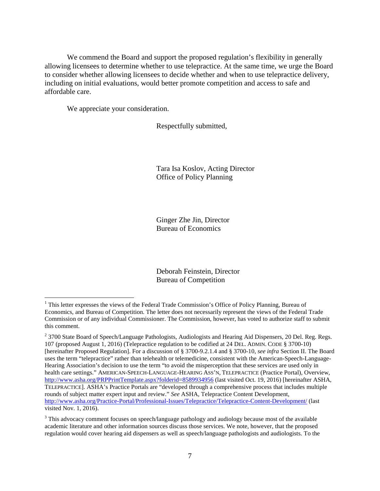We commend the Board and support the proposed regulation's flexibility in generally allowing licensees to determine whether to use telepractice. At the same time, we urge the Board to consider whether allowing licensees to decide whether and when to use telepractice delivery, including on initial evaluations, would better promote competition and access to safe and affordable care.

We appreciate your consideration.

Respectfully submitted,

Tara Isa Koslov, Acting Director Office of Policy Planning

Ginger Zhe Jin, Director Bureau of Economics

Deborah Feinstein, Director Bureau of Competition

<sup>&</sup>lt;sup>1</sup> This letter expresses the views of the Federal Trade Commission's Office of Policy Planning, Bureau of Economics, and Bureau of Competition. The letter does not necessarily represent the views of the Federal Trade Commission or of any individual Commissioner. The Commission, however, has voted to authorize staff to submit this comment.

<sup>&</sup>lt;sup>2</sup> 3700 State Board of Speech/Language Pathologists, Audiologists and Hearing Aid Dispensers, 20 Del. Reg. Regs. 107 (proposed August 1, 2016) (Telepractice regulation to be codified at 24 DEL. ADMIN. CODE § 3700-10) [hereinafter Proposed Regulation]. For a discussion of § 3700-9.2.1.4 and § 3700-10, *see infra* Section II. The Board uses the term "telepractice" rather than telehealth or telemedicine, consistent with the American-Speech-Language-Hearing Association's decision to use the term "to avoid the misperception that these services are used only in health care settings." AMERICAN-SPEECH-LANGUAGE-HEARING ASS'N, TELEPRACTICE (Practice Portal), Overview, <http://www.asha.org/PRPPrintTemplate.aspx?folderid=8589934956> (last visited Oct. 19, 2016) [hereinafter ASHA, TELEPRACTICE]. ASHA's Practice Portals are "developed through a comprehensive process that includes multiple rounds of subject matter expert input and review." *See* ASHA, Telepractice Content Development, <http://www.asha.org/Practice-Portal/Professional-Issues/Telepractice/Telepractice-Content-Development/> (last visited Nov. 1, 2016).

<sup>&</sup>lt;sup>3</sup> This advocacy comment focuses on speech/language pathology and audiology because most of the available academic literature and other information sources discuss those services. We note, however, that the proposed regulation would cover hearing aid dispensers as well as speech/language pathologists and audiologists. To the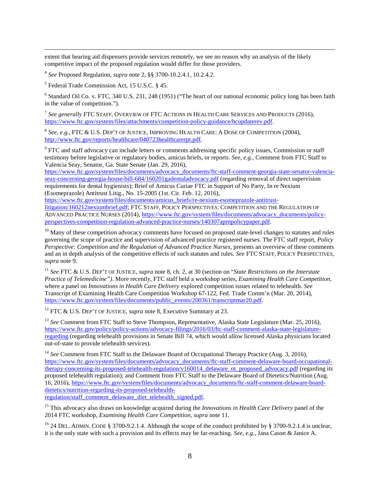extent that hearing aid dispensers provide services remotely, we see no reason why an analysis of the likely competitive impact of the proposed regulation would differ for those providers.

<span id="page-7-3"></span><sup>4</sup> *See* Proposed Regulation, *supra* not[e 2,](#page-0-0) §§ 3700-10.2.4.1, 10.2.4.2.

<span id="page-7-4"></span><sup>5</sup> Federal Trade Commission Act, 15 U.S.C. § 45.

<sup>6</sup> Standard Oil Co. v. FTC, 340 U.S. 231, 248 (1951) ("The heart of our national economic policy long has been faith in the value of competition.").

<sup>7</sup> *See generally* FTC STAFF, OVERVIEW OF FTC ACTIONS IN HEALTH CARE SERVICES AND PRODUCTS (2016), [https://www.ftc.gov/system/files/attachments/competition-policy-guidance/hcupdaterev.pdf.](https://www.ftc.gov/system/files/attachments/competition-policy-guidance/hcupdaterev.pdf)

<sup>8</sup> *See, e.g.*, FTC & U.S. DEP'T OF JUSTICE, IMPROVING HEALTH CARE: A DOSE OF COMPETITION (2004), [http://www.ftc.gov/reports/healthcare/040723healthcarerpt.pdf.](http://www.ftc.gov/reports/healthcare/040723healthcarerpt.pdf) 

<sup>9</sup> FTC and staff advocacy can include letters or comments addressing specific policy issues, Commission or staff testimony before legislative or regulatory bodies, amicus briefs, or reports. *See, e.g.*, Comment from FTC Staff to Valencia Seay, Senator, Ga. State Senate (Jan. 29, 2016),

[https://www.ftc.gov/system/files/documents/advocacy\\_documents/ftc-staff-comment-georgia-state-senator-valencia](https://www.ftc.gov/system/files/documents/advocacy_documents/ftc-staff-comment-georgia-state-senator-valencia-seay-concerning-georgia-house-bill-684/160201gadentaladvocacy.pdf)[seay-concerning-georgia-house-bill-684/160201gadentaladvocacy.pdf](https://www.ftc.gov/system/files/documents/advocacy_documents/ftc-staff-comment-georgia-state-senator-valencia-seay-concerning-georgia-house-bill-684/160201gadentaladvocacy.pdf) (regarding removal of direct supervision requirements for dental hygienists); Brief of Amicus Curiae FTC in Support of No Party, In re Nexium (Esomeprazole) Antitrust Litig., No. 15-2005 (1st. Cir. Feb. 12, 2016),

[https://www.ftc.gov/system/files/documents/amicus\\_briefs/re-nexium-esomeprazole-antitrust](https://www.ftc.gov/system/files/documents/amicus_briefs/re-nexium-esomeprazole-antitrust-litigation/160212nexiumbrief.pdf)[litigation/160212nexiumbrief.pdf;](https://www.ftc.gov/system/files/documents/amicus_briefs/re-nexium-esomeprazole-antitrust-litigation/160212nexiumbrief.pdf) FTC STAFF, POLICY PERSPECTIVES: COMPETITION AND THE REGULATION OF ADVANCED PRACTICE NURSES (2014)[, https://www.ftc.gov/system/files/documents/advocacy\\_documents/policy](https://www.ftc.gov/system/files/documents/advocacy_documents/policy-perspectives-competition-regulation-advanced-practice-nurses/140307aprnpolicypaper.pdf)[perspectives-competition-regulation-advanced-practice-nurses/140307aprnpolicypaper.pdf.](https://www.ftc.gov/system/files/documents/advocacy_documents/policy-perspectives-competition-regulation-advanced-practice-nurses/140307aprnpolicypaper.pdf)

 $10$  Many of these competition advocacy comments have focused on proposed state-level changes to statutes and rules governing the scope of practice and supervision of advanced practice registered nurses. The FTC staff report, *Policy Perspective: Competition and the Regulation of Advanced Practice Nurses*, presents an overview of these comments and an in depth analysis of the competitive effects of such statutes and rules. *See* FTC STAFF, POLICY PERSPECTIVES, *supra* note [9.](#page-1-0)

<sup>11</sup> *See* FTC & U.S. DEP'T OF JUSTICE, *supra* note [8,](#page-1-1) ch. 2, at 30 (section on "*State Restrictions on the Interstate Practice of Telemedicine")*. More recently, FTC staff held a workshop series, *Examining Health Care Competition*, where a panel on *Innovations in Health Care Delivery* explored competition issues related to telehealth. *See* Transcript of Examining Health Care Competition Workshop 67-122, Fed. Trade Comm'n (Mar. 20, 2014), [https://www.ftc.gov/system/files/documents/public\\_events/200361/transcriptmar20.pdf.](https://www.ftc.gov/system/files/documents/public_events/200361/transcriptmar20.pdf)

<span id="page-7-0"></span><sup>12</sup> FTC & U.S. DEP'T OF JUSTICE, *supra* note [8,](#page-1-1) Executive Summary at 23.

<sup>13</sup> See Comment from FTC Staff to Steve Thompson, Representative, Alaska State Legislature (Mar. 25, 2016), [https://www.ftc.gov/policy/policy-actions/advocacy-filings/2016/03/ftc-staff-comment-alaska-state-legislature](https://www.ftc.gov/policy/policy-actions/advocacy-filings/2016/03/ftc-staff-comment-alaska-state-legislature-regarding)[regarding](https://www.ftc.gov/policy/policy-actions/advocacy-filings/2016/03/ftc-staff-comment-alaska-state-legislature-regarding) (regarding telehealth provisions in Senate Bill 74, which would allow licensed Alaska physicians located out-of-state to provide telehealth services).

<span id="page-7-1"></span><sup>14</sup> See Comment from FTC Staff to the Delaware Board of Occupational Therapy Practice (Aug. 3, 2016), [https://www.ftc.gov/system/files/documents/advocacy\\_documents/ftc-staff-comment-delaware-board-occupational](https://www.ftc.gov/system/files/documents/advocacy_documents/ftc-staff-comment-delaware-board-occupational-therapy-concerning-its-proposed-telehealth-regulation/v160014_delaware_ot_proposed_advocacy.pdf)[therapy-concerning-its-proposed-telehealth-regulation/v160014\\_delaware\\_ot\\_proposed\\_advocacy.pdf](https://www.ftc.gov/system/files/documents/advocacy_documents/ftc-staff-comment-delaware-board-occupational-therapy-concerning-its-proposed-telehealth-regulation/v160014_delaware_ot_proposed_advocacy.pdf) (regarding its proposed telehealth regulation); and Comment from FTC Staff to the Delaware Board of Dietetics/Nutrition (Aug. 16, 2016), [https://www.ftc.gov/system/files/documents/advocacy\\_documents/ftc-staff-comment-delaware-board](https://www.ftc.gov/system/files/documents/advocacy_documents/ftc-staff-comment-delaware-board-dietetics/nutrition-regarding-its-proposed-telehealth-regulation/staff_comment_delaware_diet_telehealth_signed.pdf)[dietetics/nutrition-regarding-its-proposed-telehealth](https://www.ftc.gov/system/files/documents/advocacy_documents/ftc-staff-comment-delaware-board-dietetics/nutrition-regarding-its-proposed-telehealth-regulation/staff_comment_delaware_diet_telehealth_signed.pdf)[regulation/staff\\_comment\\_delaware\\_diet\\_telehealth\\_signed.pdf.](https://www.ftc.gov/system/files/documents/advocacy_documents/ftc-staff-comment-delaware-board-dietetics/nutrition-regarding-its-proposed-telehealth-regulation/staff_comment_delaware_diet_telehealth_signed.pdf)

<sup>15</sup> This advocacy also draws on knowledge acquired during the *Innovations in Health Care Delivery* panel of the 2014 FTC workshop, *Examining Health Care Competition*, *supra* note [11.](#page-1-2)

<span id="page-7-2"></span><sup>16</sup> 24 DEL. ADMIN. CODE § 3700-9.2.1.4. Although the scope of the conduct prohibited by § 3700-9.2.1.4 is unclear, it is the only state with such a provision and its effects may be far-reaching. *See, e.g.,* Jana Cason & Janice A.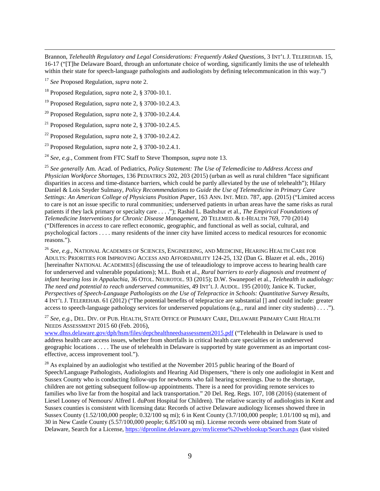Brannon, *Telehealth Regulatory and Legal Considerations: Frequently Asked Questions,* 3 INT'L J. TELEREHAB. 15, 16-17 ("[T]he Delaware Board, through an unfortunate choice of wording, significantly limits the use of telehealth within their state for speech-language pathologists and audiologists by defining telecommunication in this way.")

<span id="page-8-11"></span><sup>17</sup> *See* Proposed Regulation, *supra* note [2.](#page-0-0)

<span id="page-8-12"></span><span id="page-8-0"></span><sup>18</sup> Proposed Regulation, *supra* not[e 2,](#page-0-0) § 3700-10.1.

<span id="page-8-13"></span><sup>19</sup> Proposed Regulation, *supra* not[e 2,](#page-0-0) § 3700-10.2.4.3.

<span id="page-8-1"></span><sup>20</sup> Proposed Regulation, *supra* not[e 2,](#page-0-0) § 3700-10.2.4.4.

<sup>21</sup> Proposed Regulation, *supra* not[e 2,](#page-0-0) § 3700-10.2.4.5.

<span id="page-8-2"></span><sup>22</sup> Proposed Regulation, *supra* not[e 2,](#page-0-0) § 3700-10.2.4.2.

<sup>23</sup> Proposed Regulation, *supra* not[e 2,](#page-0-0) § 3700-10.2.4.1.

<span id="page-8-3"></span><sup>24</sup> *See, e.g.*, Comment from FTC Staff to Steve Thompson, *supra* not[e 13.](#page-1-3)

<sup>25</sup> *See generally* Am. Acad. of Pediatrics, *Policy Statement: The Use of Telemedicine to Address Access and Physician Workforce Shortages,* 136 PEDIATRICS 202, 203 (2015) (urban as well as rural children "face significant disparities in access and time-distance barriers, which could be partly alleviated by the use of telehealth"); Hilary Daniel & Lois Snyder Sulmasy, *Policy Recommendations to Guide the Use of Telemedicine in Primary Care Settings: An American College of Physicians Position Paper,* 163 ANN. INT. MED. 787, app. (2015) ("Limited access to care is not an issue specific to rural communities; underserved patients in urban areas have the same risks as rural patients if they lack primary or specialty care . . . ."); Rashid L. Bashshur et al., *The Empirical Foundations of Telemedicine Interventions for Chronic Disease Management,* 20 TELEMED. & E-HEALTH 769, 770 (2014) ("Differences in *access* to care reflect economic, geographic, and functional as well as social, cultural, and psychological factors . . . . many residents of the inner city have limited access to medical resources for economic reasons.").

<span id="page-8-5"></span><span id="page-8-4"></span><sup>26</sup> *See, e.g.*, NATIONAL ACADEMIES OF SCIENCES, ENGINEERING, AND MEDICINE, HEARING HEALTH CARE FOR ADULTS: PRIORITIES FOR IMPROVING ACCESS AND AFFORDABILITY 124-25, 132 (Dan G. Blazer et al. eds., 2016) [hereinafter NATIONAL ACADEMIES] (discussing the use of teleaudiology to improve access to hearing health care for underserved and vulnerable populations); M.L. Bush et al., *Rural barriers to early diagnosis and treatment of infant hearing loss in Appalachia,* 36 OTOL. NEUROTOL. 93 (2015); D.W. Swanepoel et al., *Telehealth in audiology: The need and potential to reach underserved communities,* 49 INT'L J. AUDOL. 195 (2010); Janice K. Tucker, *Perspectives of Speech-Language Pathologists on the Use of Telepractice in Schools: Quantitative Survey Results,*  4 INT'L J. TELEREHAB. 61 (2012) ("The potential benefits of telepractice are substantial [] and could include: greater access to speech-language pathology services for underserved populations (e.g., rural and inner city students) . . . .").

<span id="page-8-7"></span><span id="page-8-6"></span><sup>27</sup> *See, e.g.*, DEL. DIV. OF PUB. HEALTH, STATE OFFICE OF PRIMARY CARE, DELAWARE PRIMARY CARE HEALTH NEEDS ASSESSMENT 2015 60 (Feb. 2016),

[www.dhss.delaware.gov/dph/hsm/files/depchealthneedsassessment2015.pdf](http://www.dhss.delaware.gov/dph/hsm/files/depchealthneedsassessment2015.pdf) ("Telehealth in Delaware is used to address health care access issues, whether from shortfalls in critical health care specialties or in underserved geographic locations . . . . The use of telehealth in Delaware is supported by state government as an important costeffective, access improvement tool.").

<span id="page-8-10"></span><span id="page-8-9"></span><span id="page-8-8"></span> $^{28}$  As explained by an audiologist who testified at the November 2015 public hearing of the Board of Speech/Language Pathologists, Audiologists and Hearing Aid Dispensers, "there is only one audiologist in Kent and Sussex County who is conducting follow-ups for newborns who fail hearing screenings. Due to the shortage, children are not getting subsequent follow-up appointments. There is a need for providing remote services to families who live far from the hospital and lack transportation." 20 Del. Reg. Regs. 107, 108 (2016) (statement of Liesel Looney of Nemours/ Alfred I. duPont Hospital for Children). The relative scarcity of audiologists in Kent and Sussex counties is consistent with licensing data: Records of active Delaware audiology licenses showed three in Sussex County (1.52/100,000 people; 0.32/100 sq mi); 6 in Kent County (3.7/100,000 people; 1.01/100 sq mi), and 30 in New Castle County (5.57/100,000 people; 6.85/100 sq mi). License records were obtained from State of Delaware, Search for a License,<https://dpronline.delaware.gov/mylicense%20weblookup/Search.aspx> (last visited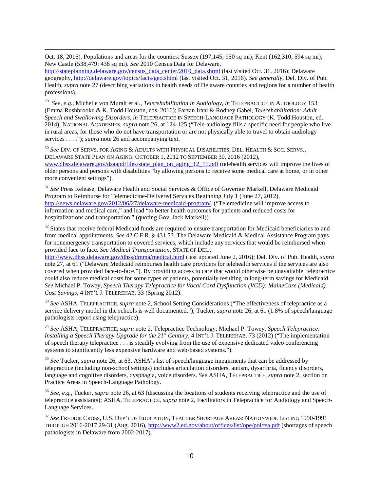Oct. 18, 2016). Populations and areas for the counties: Sussex (197,145; 950 sq mi); Kent (162,310; 594 sq mi); New Castle (538,479; 438 sq mi). *See* 2010 Census Data for Delaware,

[http://stateplanning.delaware.gov/census\\_data\\_center/2010\\_data.shtml](http://stateplanning.delaware.gov/census_data_center/2010_data.shtml) (last visited Oct. 31, 2016); Delaware geography,<http://delaware.gov/topics/facts/geo.shtml> (last visited Oct. 31, 2016). *See generally,* Del. Div. of Pub. Health, *supra* not[e 27](#page-2-0) (describing variations in health needs of Delaware counties and regions for a number of health professions).

<span id="page-9-8"></span><span id="page-9-0"></span><sup>29</sup> *See, e.g.*, Michelle von Muralt et al., *Telerehabilitation in Audiology, in* TELEPRACTICE IN AUDIOLOGY 153 (Emma Rushbrooke & K. Todd Houston, eds. 2016); Farzan Irani & Rodney Gabel, *Telerehabilitation: Adult Speech and Swallowing Disorders, in* TELEPRACTICE IN SPEECH-LANGUAGE PATHOLOGY (K. Todd Houston, ed. 2014); NATIONAL ACADEMIES, *supra* note [26,](#page-2-1) at 124-125 ("Tele-audiology fills a specific need for people who live in rural areas, for those who do not have transportation or are not physically able to travel to obtain audiology services . . . ."); *supra* note [26](#page-2-1) and accompanying text.

<span id="page-9-9"></span><span id="page-9-3"></span><span id="page-9-2"></span><span id="page-9-1"></span><sup>30</sup> *See* DIV. OF SERVS. FOR AGING & ADULTS WITH PHYSICAL DISABILITIES, DEL. HEALTH & SOC. SERVS., DELAWARE STATE PLAN ON AGING: OCTOBER 1, 2012 TO SEPTEMBER 30, 2016 (2012), [www.dhss.delaware.gov/dsaapd/files/state\\_plan\\_on\\_aging\\_12\\_15.pdf](http://www.dhss.delaware.gov/dsaapd/files/state_plan_on_aging_12_15.pdf) (telehealth services will improve the lives of older persons and persons with disabilities "by allowing persons to receive some medical care at home, or in other more convenient settings").

<span id="page-9-4"></span><sup>31</sup> *See* Press Release, Delaware Health and Social Services & Office of Governor Markell, Delaware Medicaid Program to Reimburse for Telemedicine-Delivered Services Beginning July 1 (June 27, 2012), [http://news.delaware.gov/2012/06/27/delaware-medicaid-program/.](http://news.delaware.gov/2012/06/27/delaware-medicaid-program/) ("Telemedicine will improve access to information and medical care," and lead "to better health outcomes for patients and reduced costs for hospitalizations and transportation." (quoting Gov. Jack Markell)).

<sup>32</sup> States that receive federal Medicaid funds are required to ensure transportation for Medicaid beneficiaries to and from medical appointments. *See* 42 C.F.R. § 431.53. The Delaware Medicaid & Medical Assistance Program pays for nonemergency transportation to covered services, which include any services that would be reimbursed when provided face to face. *See Medical Transportation*, STATE OF DEL.,

<span id="page-9-5"></span><http://www.dhss.delaware.gov/dhss/dmma/medical.html> (last updated June 2, 2016); Del. Div. of Pub. Health, *supra*  not[e 27,](#page-2-0) at 61 ("Delaware Medicaid reimburses health care providers for telehealth services if the services are also covered when provided face-to-face."). By providing access to care that would otherwise be unavailable, telepractice could also reduce medical costs for some types of patients, potentially resulting in long-term savings for Medicaid. *See* Michael P. Towey, *Speech Therapy Telepractice for Vocal Cord Dysfunction (VCD): MaineCare (Medicaid) Cost Savings,* 4 INT'L J. TELEREHAB. 33 (Spring 2012).

<sup>33</sup> *See* ASHA, TELEPRACTICE, *supra* note [2,](#page-0-0) School Setting Considerations ("The effectiveness of telepractice as a service delivery model in the schools is well documented."); Tucker, *supra* not[e 26,](#page-2-1) at 61 (1.8% of speech/language pathologists report using telepractice).

<span id="page-9-6"></span><sup>34</sup> *See* ASHA, TELEPRACTICE, *supra* note [2,](#page-0-0) Telepractice Technology; Michael P. Towey, *Speech Telepractice: Installing a Speech Therapy Upgrade for the 21<sup>st</sup> Century, 4 INT'L J. TELEREHAB. 73 (2012)* ("The implementation" of speech therapy telepractice . . . is steadily evolving from the use of expensive dedicated video conferencing systems to significantly less expensive hardware and web-based systems.").

<span id="page-9-7"></span><sup>35</sup> *See* Tucker, *supra* not[e 26,](#page-2-1) at 63. ASHA's list of speech/language impairments that can be addressed by telepractice (including non-school settings) includes articulation disorders, autism, dysarthria, fluency disorders, language and cognitive disorders, dysphagia, voice disorders. *See* ASHA, TELEPRACTICE, *supra* note [2,](#page-0-0) section on Practice Areas in Speech-Language Pathology.

<sup>36</sup> *See, e.g.*, Tucker, *supra* not[e 26,](#page-2-1) at 63 (discussing the locations of students receiving telepractice and the use of telepractice assistants); ASHA, TELEPRACTICE, *supra* not[e 2,](#page-0-0) Facilitators in Telepractice for Audiology and Speech-Language Services.

<sup>37</sup> *See* FREDDIE CROSS, U.S. DEP'T OF EDUCATION, TEACHER SHORTAGE AREAS: NATIONWIDE LISTING 1990-1991 THROUGH 2016-2017 29-31 (Aug. 2016)[, http://www2.ed.gov/about/offices/list/ope/pol/tsa.pdf](http://www2.ed.gov/about/offices/list/ope/pol/tsa.pdf) (shortages of speech pathologists in Delaware from 2002-2017).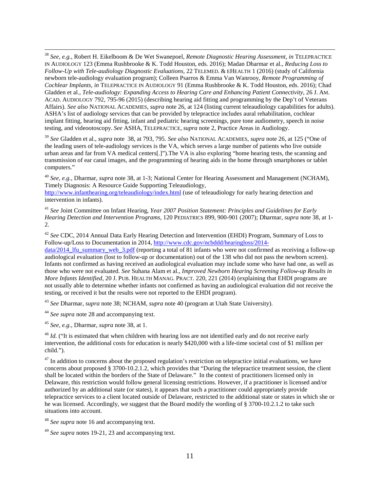<span id="page-10-7"></span> 38 *See, e.g.*, Robert H. Eikelboom & De Wet Swanepoel, *Remote Diagnostic Hearing Assessment, in* TELEPRACTICE IN AUDIOLOGY 123 (Emma Rushbrooke & K. Todd Houston, eds. 2016); Madan Dharmar et al., *Reducing Loss to Follow-Up with Tele-audiology Diagnostic Evaluations,* 22 TELEMED. & EHEALTH 1 (2016) (study of California newborn tele-audiology evaluation program); Colleen Psarros & Emma Van Wanrooy, *Remote Programming of Cochlear Implants, in* TELEPRACTICE IN AUDIOLOGY 91 (Emma Rushbrooke & K. Todd Houston, eds. 2016); Chad Gladden et al., *Tele-audiology: Expanding Access to Hearing Care and Enhancing Patient Connectivity*, 26 J. AM. ACAD. AUDIOLOGY 792, 795-96 (2015) (describing hearing aid fitting and programming by the Dep't of Veterans Affairs). *See also* NATIONAL ACADEMIES, *supra* note [26,](#page-2-1) at 124 (listing current teleaudiology capabilities for adults). ASHA's list of audiology services that can be provided by telepractice includes aural rehabilitation, cochlear implant fitting, hearing aid fitting, infant and pediatric hearing screenings, pure tone audiometry, speech in noise testing, and videootoscopy. *See* ASHA, TELEPRACTICE, *supra* note [2,](#page-0-0) Practice Areas in Audiology.

<span id="page-10-8"></span><sup>39</sup> *See* Gladden et al., *supra* note [38,](#page-3-0) at 793, 795. *See also* NATIONAL ACADEMIES, *supra* note [26,](#page-2-1) at 125 ("One of the leading users of tele-audiology services is the VA, which serves a large number of patients who live outside urban areas and far from VA medical centers[.]").The VA is also exploring "home hearing tests, the scanning and transmission of ear canal images, and the programming of hearing aids in the home through smartphones or tablet computers."

<span id="page-10-9"></span><sup>40</sup> *See, e.g.,* Dharmar, *supra* note [38,](#page-3-0) at 1-3; National Center for Hearing Assessment and Management (NCHAM), Timely Diagnosis: A Resource Guide Supporting Teleaudiology,

<span id="page-10-0"></span><http://www.infanthearing.org/teleaudiology/index.html> (use of teleaudiology for early hearing detection and intervention in infants).

<span id="page-10-10"></span><sup>41</sup> *See* Joint Committee on Infant Hearing, *Year 2007 Position Statement: Principles and Guidelines for Early Hearing Detection and Intervention Programs,* 120 PEDIATRICS 899, 900-901 (2007); Dharmar, *supra* not[e 38,](#page-3-0) at 1- 2.

<span id="page-10-11"></span><span id="page-10-1"></span><sup>42</sup> *See* CDC, 2014 Annual Data Early Hearing Detection and Intervention (EHDI) Program, Summary of Loss to Follow-up/Loss to Documentation in 2014, [http://www.cdc.gov/ncbddd/hearingloss/2014-](http://www.cdc.gov/ncbddd/hearingloss/2014-data/2014_lfu_summary_web_3.pdf)

data/2014 Ifu\_summary\_web\_3.pdf (reporting a total of 81 infants who were not confirmed as receiving a follow-up audiological evaluation (lost to follow-up or documentation) out of the 138 who did not pass the newborn screen). Infants not confirmed as having received an audiological evaluation may include some who have had one, as well as those who were not evaluated. *See* Suhana Alam et al., *Improved Newborn Hearing Screening Follow-up Results in More Infants Identified,* 20 J. PUB. HEALTH MANAG. PRACT. 220, 221 (2014) (explaining that EHDI programs are not usually able to determine whether infants not confirmed as having an audiological evaluation did not receive the testing, or received it but the results were not reported to the EHDI program).

<span id="page-10-2"></span><sup>43</sup> *See* Dharmar, *supra* note [38;](#page-3-0) NCHAM, *supra* note [40](#page-3-1) (program at Utah State University).

<sup>44</sup> *See supra* note [28](#page-2-2) and accompanying text.

<span id="page-10-3"></span><sup>45</sup> *See, e.g.,* Dharmar, *supra* note [38,](#page-3-0) at 1.

<sup>46</sup> *Id.* ("It is estimated that when children with hearing loss are not identified early and do not receive early intervention, the additional costs for education is nearly \$420,000 with a life-time societal cost of \$1 million per child.").

<span id="page-10-4"></span> $47$  In addition to concerns about the proposed regulation's restriction on telepractice initial evaluations, we have concerns about proposed § 3700-10.2.1.2, which provides that "During the telepractice treatment session, the client shall be located within the borders of the State of Delaware." In the context of practitioners licensed only in Delaware, this restriction would follow general licensing restrictions. However, if a practitioner is licensed and/or authorized by an additional state (or states), it appears that such a practitioner could appropriately provide telepractice services to a client located outside of Delaware, restricted to the additional state or states in which she or he was licensed. Accordingly, we suggest that the Board modify the wording of § 3700-10.2.1.2 to take such situations into account.

<span id="page-10-6"></span><span id="page-10-5"></span><sup>48</sup> *See supra* note [16](#page-1-4) and accompanying text.

<sup>49</sup> *See supra* notes [19](#page-1-5)[-21,](#page-2-3) [23](#page-2-4) and accompanying text.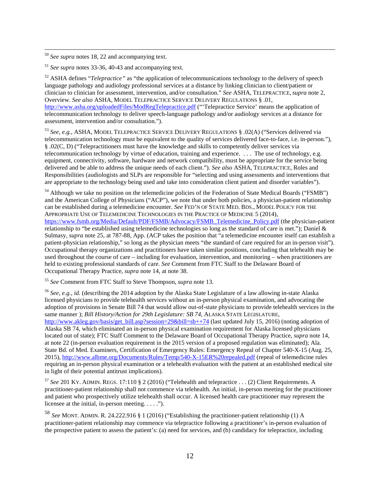<span id="page-11-7"></span>50 *See supra* notes [18,](#page-1-6) [22](#page-2-5) and accompanying text.

<span id="page-11-8"></span><sup>51</sup> *See supra* notes [33](#page-3-2)[-36,](#page-3-3) [40-](#page-3-1)[43](#page-4-0) and accompanying text.

<span id="page-11-9"></span><sup>52</sup> ASHA defines "*Telepractice*" as "the application of telecommunications technology to the delivery of speech language pathology and audiology professional services at a distance by linking clinician to client/patient or clinician to clinician for assessment, intervention, and/or consultation." *See* ASHA, TELEPRACTICE, *supra* note [2,](#page-0-0) Overview. *See also* ASHA, MODEL TELEPRACTICE SERVICE DELIVERY REGULATIONS § .01, <http://www.asha.org/uploadedFiles/ModRegTelepractice.pdf> ("Telepractice Service' means the application of telecommunication technology to deliver speech-language pathology and/or audiology services at a distance for assessment, intervention and/or consultation.").

<span id="page-11-10"></span><sup>53</sup> *See, e.g.*, ASHA, MODEL TELEPRACTICE SERVICE DELIVERY REGULATIONS § .02(A) ("Services delivered via telecommunication technology must be equivalent to the quality of services delivered face-to-face, i.e. in-person."), § .02(C, D) ("Telepractitioners must have the knowledge and skills to competently deliver services via telecommunication technology by virtue of education, training and experience. . . . The use of technology, e.g. equipment, connectivity, software, hardware and network compatibility, must be appropriate for the service being delivered and be able to address the unique needs of each client."). *See also* ASHA, TELEPRACTICE, Roles and Responsibilities (audiologists and SLPs are responsible for "selecting and using assessments and interventions that are appropriate to the technology being used and take into consideration client patient and disorder variables").

<span id="page-11-11"></span><sup>54</sup> Although we take no position on the telemedicine policies of the Federation of State Medical Boards ("FSMB") and the American College of Physicians ("ACP"), we note that under both policies, a physician-patient relationship can be established during a telemedicine encounter. *See* FED'N OF STATE MED. BDS., MODEL POLICY FOR THE APPROPRIATE USE OF TELEMEDICINE TECHNOLOGIES IN THE PRACTICE OF MEDICINE 5 (2014), [https://www.fsmb.org/Media/Default/PDF/FSMB/Advocacy/FSMB\\_Telemedicine\\_Policy.pdf](https://www.fsmb.org/Media/Default/PDF/FSMB/Advocacy/FSMB_Telemedicine_Policy.pdf) (the physician-patient relationship to "be established using telemedicine technologies so long as the standard of care is met."); Daniel & Sulmasy, *supra* note [25,](#page-2-6) at 787-88, App. (ACP takes the position that "a telemedicine encounter itself can establish a patient-physician relationship," so long as the physician meets "the standard of care required for an in-person visit"). Occupational therapy organizations and practitioners have taken similar positions, concluding that telehealth may be used throughout the course of care – including for evaluation, intervention, and monitoring – when practitioners are held to existing professional standards of care. *See* Comment from FTC Staff to the Delaware Board of Occupational Therapy Practice, *supra* note [14,](#page-1-7) at note 38.

<sup>55</sup> *See* Comment from FTC Staff to Steve Thompson, *supra* note [13.](#page-1-3)

<span id="page-11-3"></span><span id="page-11-2"></span><span id="page-11-1"></span><span id="page-11-0"></span><sup>56</sup> *See, e.g.*, *id.* (describing the 2014 adoption by the Alaska State Legislature of a law allowing in-state Alaska licensed physicians to provide telehealth services without an in-person physical examination, and advocating the adoption of provisions in Senate Bill 74 that would allow out-of-state physicians to provide telehealth services in the same manner ); *Bill History/Action for 29th Legislature: SB 74*, ALASKA STATE LEGISLATURE, [http://www.akleg.gov/basis/get\\_bill.asp?session=29&bill=sb++74](http://www.akleg.gov/basis/get_bill.asp?session=29&bill=sb++74) (last updated July 15, 2016) (noting adoption of Alaska SB 74, which eliminated an in-person physical examination requirement for Alaska licensed physicians located out of state); FTC Staff Comment to the Delaware Board of Occupational Therapy Practice, *supra* not[e 14,](#page-1-7) at note 22 (in-person evaluation requirement in the 2015 version of a proposed regulation was eliminated); Ala. State Bd. of Med. Examiners, Certification of Emergency Rules: Emergency Repeal of Chapter 540-X-15 (Aug. 25, 2015),<http://www.albme.org/Documents/Rules/Temp/540-X-15ER%20repealed.pdf> (repeal of telemedicine rules requiring an in-person physical examination or a telehealth evaluation with the patient at an established medical site in light of their potential antitrust implications).

<span id="page-11-4"></span><sup>57</sup> *See* 201 KY. ADMIN. REGS. 17:110 § 2 (2016) ("Telehealth and telepractice . . . (2) Client Requirements. A practitioner-patient relationship shall not commence via telehealth. An initial, in-person meeting for the practitioner and patient who prospectively utilize telehealth shall occur. A licensed health care practitioner may represent the licensee at the initial, in-person meeting.  $\dots$ .").

<span id="page-11-6"></span><span id="page-11-5"></span><sup>58</sup> *See* MONT. ADMIN. R. 24.222.916 § 1 (2016) ("Establishing the practitioner-patient relationship (1) A practitioner-patient relationship may commence via telepractice following a practitioner's in-person evaluation of the prospective patient to assess the patient's: (a) need for services, and (b) candidacy for telepractice, including